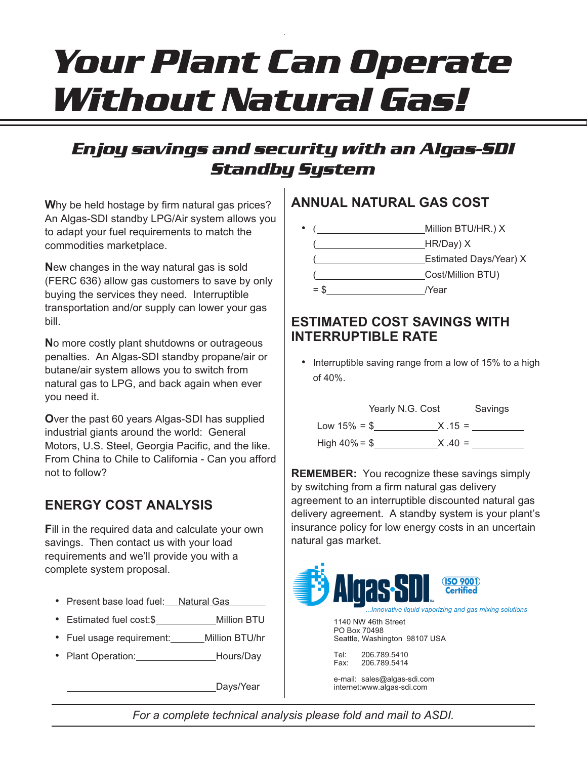# *Your Plant Can Operate Without Natural Gas!*

## *Enjoy savings and security with an Algas-SDI Standby System*

**W**hy be held hostage by firm natural gas prices? An Algas-SDI standby LPG/Air system allows you to adapt your fuel requirements to match the commodities marketplace.

**N**ew changes in the way natural gas is sold (FERC 636) allow gas customers to save by only buying the services they need. Interruptible transportation and/or supply can lower your gas bill.

**N**o more costly plant shutdowns or outrageous penalties. An Algas-SDI standby propane/air or butane/air system allows you to switch from natural gas to LPG, and back again when ever you need it.

**O**ver the past 60 years Algas-SDI has supplied industrial giants around the world: General Motors, U.S. Steel, Georgia Pacific, and the like. From China to Chile to California - Can you afford not to follow?

### **ENERGY COST ANALYSIS**

**F**ill in the required data and calculate your own savings. Then contact us with your load requirements and we'll provide you with a complete system proposal.

- Present base load fuel: Natural Gas
- Estimated fuel cost:\$ Million BTU
- Fuel usage requirement: Million BTU/hr
- Plant Operation: Hours/Day

Days/Year

#### **ANNUAL NATURAL GAS COST**



#### **ESTIMATED COST SAVINGS WITH INTERRUPTIBLE RATE**

• Interruptible saving range from a low of 15% to a high of 40%.



**REMEMBER:** You recognize these savings simply by switching from a firm natural gas delivery agreement to an interruptible discounted natural gas delivery agreement. A standby system is your plant's insurance policy for low energy costs in an uncertain natural gas market.



*For a complete technical analysis please fold and mail to ASDI.*